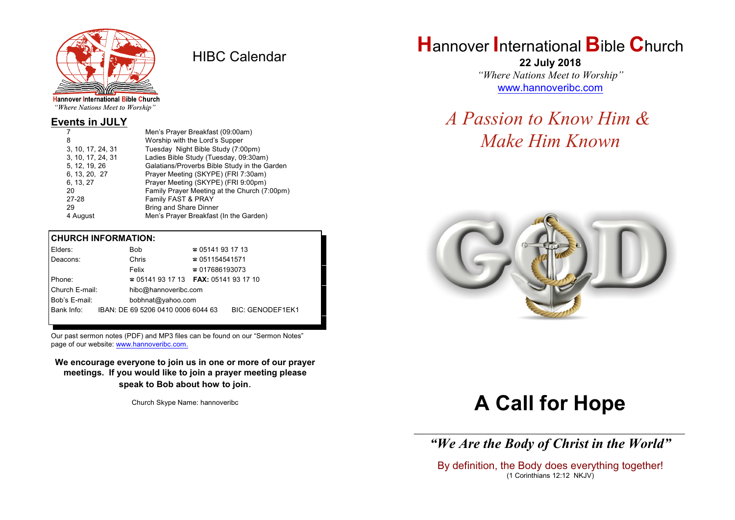

HIBC Calendar

"Where Nations Meet to Worship"

#### **Events in JULY**

|                   | Men's Prayer Breakfast (09:00am)             |
|-------------------|----------------------------------------------|
| 8                 | Worship with the Lord's Supper               |
| 3, 10, 17, 24, 31 | Tuesday Night Bible Study (7:00pm)           |
| 3, 10, 17, 24, 31 | Ladies Bible Study (Tuesday, 09:30am)        |
| 5, 12, 19, 26     | Galatians/Proverbs Bible Study in the Garden |
| 6, 13, 20, 27     | Prayer Meeting (SKYPE) (FRI 7:30am)          |
| 6, 13, 27         | Prayer Meeting (SKYPE) (FRI 9:00pm)          |
| 20                | Family Prayer Meeting at the Church (7:00pm) |
| 27-28             | Family FAST & PRAY                           |
| 29                | <b>Bring and Share Dinner</b>                |
| 4 August          | Men's Prayer Breakfast (In the Garden)       |

#### **CHURCH INFORMATION:**

| Elders:                            |  | Bob                                      | $\approx 05141931713$  |                         |  |
|------------------------------------|--|------------------------------------------|------------------------|-------------------------|--|
| Deacons:                           |  | Chris                                    | $\approx 051154541571$ |                         |  |
|                                    |  | Felix                                    | $\approx 017686193073$ |                         |  |
| Phone:                             |  | $\approx 05141931713$ FAX: 0514193 17 10 |                        |                         |  |
| Church E-mail:                     |  | hibc@hannoveribc.com                     |                        |                         |  |
| Bob's E-mail:<br>bobhnat@yahoo.com |  |                                          |                        |                         |  |
| Bank Info:                         |  | IBAN: DE 69 5206 0410 0006 6044 63       |                        | <b>BIC: GENODEF1EK1</b> |  |
|                                    |  |                                          |                        |                         |  |

Our past sermon notes (PDF) and MP3 files can be found on our "Sermon Notes" page of our website: [www.hannoveribc.com.](http://www.hannoveribc.com.)

**We encourage everyone to join us in one or more of our prayer meetings. If you would like to join a prayer meeting please speak to Bob about how to join**.

Church Skype Name: hannoveribc

# **H**annover **I**nternational **B**ible **C**hurch

**22 July 2018** *"Where Nations Meet to Worship"* [www.hannoveribc.com](http://www.hannoveribc.com)

# *A Passion to Know Him & Make Him Known*



# **A Call for Hope**

\_\_\_\_\_\_\_\_\_\_\_\_\_\_\_\_\_\_\_\_\_\_\_\_\_\_\_\_\_\_\_\_\_\_\_\_\_\_\_\_\_\_\_\_\_\_\_\_\_\_\_\_\_\_\_\_\_\_\_\_\_\_ *"We Are the Body of Christ in the World"*

By definition, the Body does everything together! (1 Corinthians 12:12 NKJV)